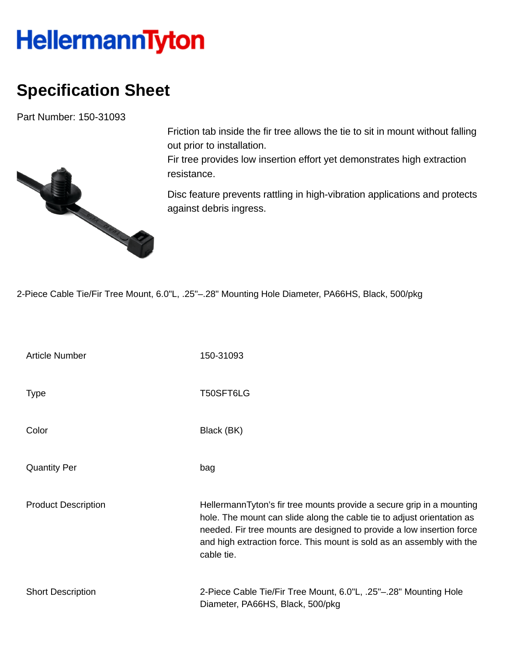## **HellermannTyton**

## **Specification Sheet**

Part Number: 150-31093



Friction tab inside the fir tree allows the tie to sit in mount without falling out prior to installation.

Fir tree provides low insertion effort yet demonstrates high extraction resistance.

Disc feature prevents rattling in high-vibration applications and protects against debris ingress.

2-Piece Cable Tie/Fir Tree Mount, 6.0"L, .25"–.28" Mounting Hole Diameter, PA66HS, Black, 500/pkg

| <b>Article Number</b>      | 150-31093                                                                                                                                                                                                                                                                                                       |
|----------------------------|-----------------------------------------------------------------------------------------------------------------------------------------------------------------------------------------------------------------------------------------------------------------------------------------------------------------|
| <b>Type</b>                | T50SFT6LG                                                                                                                                                                                                                                                                                                       |
| Color                      | Black (BK)                                                                                                                                                                                                                                                                                                      |
| <b>Quantity Per</b>        | bag                                                                                                                                                                                                                                                                                                             |
| <b>Product Description</b> | HellermannTyton's fir tree mounts provide a secure grip in a mounting<br>hole. The mount can slide along the cable tie to adjust orientation as<br>needed. Fir tree mounts are designed to provide a low insertion force<br>and high extraction force. This mount is sold as an assembly with the<br>cable tie. |
| <b>Short Description</b>   | 2-Piece Cable Tie/Fir Tree Mount, 6.0"L, .25"-.28" Mounting Hole<br>Diameter, PA66HS, Black, 500/pkg                                                                                                                                                                                                            |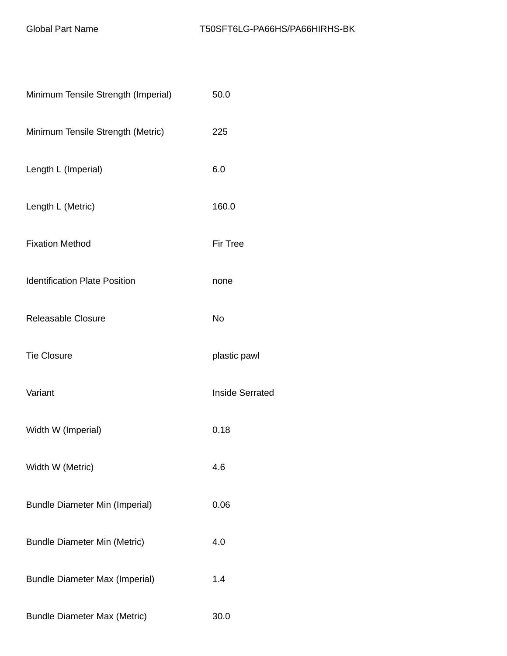| Minimum Tensile Strength (Imperial)   | 50.0                   |
|---------------------------------------|------------------------|
| Minimum Tensile Strength (Metric)     | 225                    |
| Length L (Imperial)                   | 6.0                    |
| Length L (Metric)                     | 160.0                  |
| <b>Fixation Method</b>                | <b>Fir Tree</b>        |
| <b>Identification Plate Position</b>  | none                   |
| Releasable Closure                    | No                     |
| <b>Tie Closure</b>                    | plastic pawl           |
| Variant                               | <b>Inside Serrated</b> |
| Width W (Imperial)                    | 0.18                   |
| Width W (Metric)                      | 4.6                    |
| <b>Bundle Diameter Min (Imperial)</b> | 0.06                   |
| <b>Bundle Diameter Min (Metric)</b>   | 4.0                    |
| <b>Bundle Diameter Max (Imperial)</b> | 1.4                    |
| <b>Bundle Diameter Max (Metric)</b>   | 30.0                   |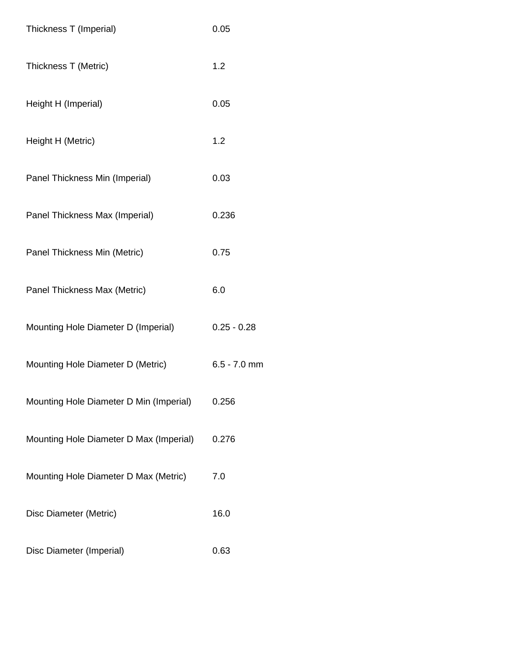| Thickness T (Imperial)                  | 0.05           |
|-----------------------------------------|----------------|
| Thickness T (Metric)                    | 1.2            |
| Height H (Imperial)                     | 0.05           |
| Height H (Metric)                       | 1.2            |
| Panel Thickness Min (Imperial)          | 0.03           |
| Panel Thickness Max (Imperial)          | 0.236          |
| Panel Thickness Min (Metric)            | 0.75           |
| Panel Thickness Max (Metric)            | 6.0            |
| Mounting Hole Diameter D (Imperial)     | $0.25 - 0.28$  |
| Mounting Hole Diameter D (Metric)       | $6.5 - 7.0$ mm |
| Mounting Hole Diameter D Min (Imperial) | 0.256          |
| Mounting Hole Diameter D Max (Imperial) | 0.276          |
| Mounting Hole Diameter D Max (Metric)   | 7.0            |
| Disc Diameter (Metric)                  | 16.0           |
| Disc Diameter (Imperial)                | 0.63           |